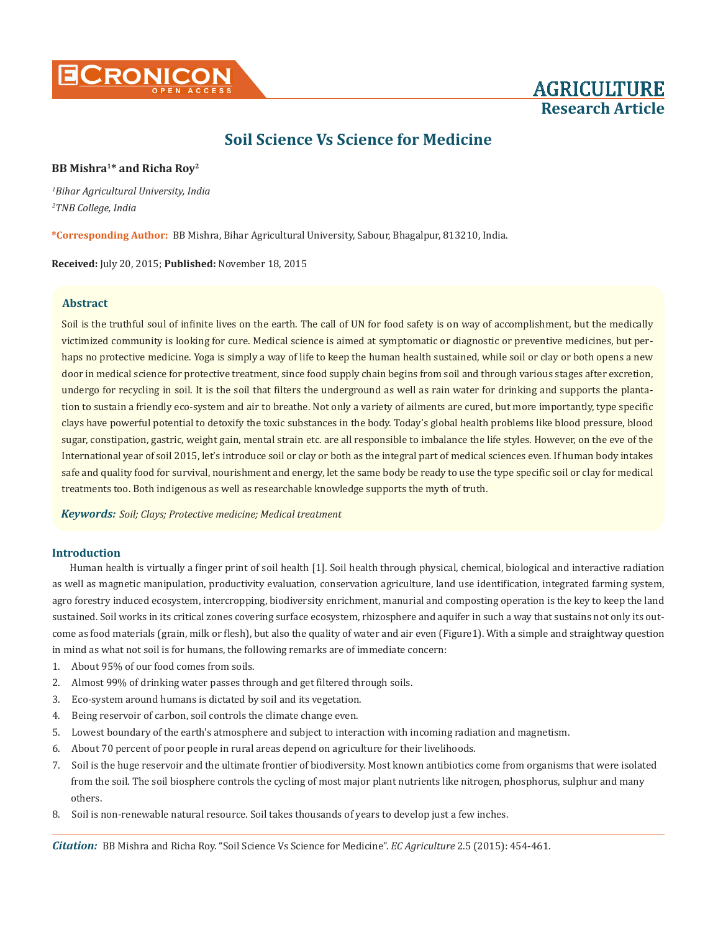



# **BB Mishra1\* and Richa Roy2**

*1 Bihar Agricultural University, India 2 TNB College, India*

**\*Corresponding Author:** BB Mishra, Bihar Agricultural University, Sabour, Bhagalpur, 813210, India.

**Received:** July 20, 2015; **Published:** November 18, 2015

## **Abstract**

Soil is the truthful soul of infinite lives on the earth. The call of UN for food safety is on way of accomplishment, but the medically victimized community is looking for cure. Medical science is aimed at symptomatic or diagnostic or preventive medicines, but perhaps no protective medicine. Yoga is simply a way of life to keep the human health sustained, while soil or clay or both opens a new door in medical science for protective treatment, since food supply chain begins from soil and through various stages after excretion, undergo for recycling in soil. It is the soil that filters the underground as well as rain water for drinking and supports the plantation to sustain a friendly eco-system and air to breathe. Not only a variety of ailments are cured, but more importantly, type specific clays have powerful potential to detoxify the toxic substances in the body. Today's global health problems like blood pressure, blood sugar, constipation, gastric, weight gain, mental strain etc. are all responsible to imbalance the life styles. However, on the eve of the International year of soil 2015, let's introduce soil or clay or both as the integral part of medical sciences even. If human body intakes safe and quality food for survival, nourishment and energy, let the same body be ready to use the type specific soil or clay for medical treatments too. Both indigenous as well as researchable knowledge supports the myth of truth.

*Keywords: Soil; Clays; Protective medicine; Medical treatment*

#### **Introduction**

Human health is virtually a finger print of soil health [1]. Soil health through physical, chemical, biological and interactive radiation as well as magnetic manipulation, productivity evaluation, conservation agriculture, land use identification, integrated farming system, agro forestry induced ecosystem, intercropping, biodiversity enrichment, manurial and composting operation is the key to keep the land sustained. Soil works in its critical zones covering surface ecosystem, rhizosphere and aquifer in such a way that sustains not only its outcome as food materials (grain, milk or flesh), but also the quality of water and air even (Figure1). With a simple and straightway question in mind as what not soil is for humans, the following remarks are of immediate concern:

- 1. About 95% of our food comes from soils.
- 2. Almost 99% of drinking water passes through and get filtered through soils.
- 3. Eco-system around humans is dictated by soil and its vegetation.
- 4. Being reservoir of carbon, soil controls the climate change even.
- 5. Lowest boundary of the earth's atmosphere and subject to interaction with incoming radiation and magnetism.
- 6. About 70 percent of poor people in rural areas depend on agriculture for their livelihoods.
- 7. Soil is the huge reservoir and the ultimate frontier of biodiversity. Most known antibiotics come from organisms that were isolated from the soil. The soil biosphere controls the cycling of most major plant nutrients like nitrogen, phosphorus, sulphur and many others.
- 8. Soil is non-renewable natural resource. Soil takes thousands of years to develop just a few inches.

*Citation:* BB Mishra and Richa Roy. "Soil Science Vs Science for Medicine". *EC Agriculture* 2.5 (2015): 454-461.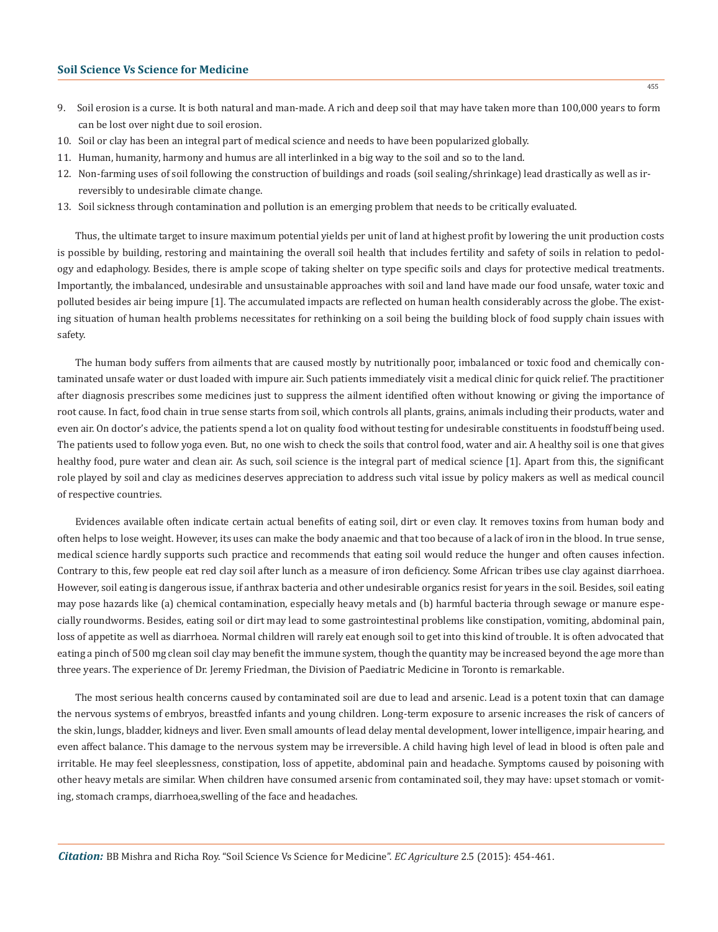- 9. Soil erosion is a curse. It is both natural and man-made. A rich and deep soil that may have taken more than 100,000 years to form can be lost over night due to soil erosion.
- 10. Soil or clay has been an integral part of medical science and needs to have been popularized globally.
- 11. Human, humanity, harmony and humus are all interlinked in a big way to the soil and so to the land.
- 12. Non-farming uses of soil following the construction of buildings and roads (soil sealing/shrinkage) lead drastically as well as ir reversibly to undesirable climate change.
- 13. Soil sickness through contamination and pollution is an emerging problem that needs to be critically evaluated.

Thus, the ultimate target to insure maximum potential yields per unit of land at highest profit by lowering the unit production costs is possible by building, restoring and maintaining the overall soil health that includes fertility and safety of soils in relation to pedology and edaphology. Besides, there is ample scope of taking shelter on type specific soils and clays for protective medical treatments. Importantly, the imbalanced, undesirable and unsustainable approaches with soil and land have made our food unsafe, water toxic and polluted besides air being impure [1]. The accumulated impacts are reflected on human health considerably across the globe. The existing situation of human health problems necessitates for rethinking on a soil being the building block of food supply chain issues with safety.

The human body suffers from ailments that are caused mostly by nutritionally poor, imbalanced or toxic food and chemically contaminated unsafe water or dust loaded with impure air. Such patients immediately visit a medical clinic for quick relief. The practitioner after diagnosis prescribes some medicines just to suppress the ailment identified often without knowing or giving the importance of root cause. In fact, food chain in true sense starts from soil, which controls all plants, grains, animals including their products, water and even air. On doctor's advice, the patients spend a lot on quality food without testing for undesirable constituents in foodstuff being used. The patients used to follow yoga even. But, no one wish to check the soils that control food, water and air. A healthy soil is one that gives healthy food, pure water and clean air. As such, soil science is the integral part of medical science [1]. Apart from this, the significant role played by soil and clay as medicines deserves appreciation to address such vital issue by policy makers as well as medical council of respective countries.

Evidences available often indicate certain actual benefits of eating soil, dirt or even clay. It removes toxins from human body and often helps to lose weight. However, its uses can make the body anaemic and that too because of a lack of iron in the blood. In true sense, medical science hardly supports such practice and recommends that eating soil would reduce the hunger and often causes infection. Contrary to this, few people eat red clay soil after lunch as a measure of iron deficiency. Some African tribes use clay against diarrhoea. However, soil eating is dangerous issue, if anthrax bacteria and other undesirable organics resist for years in the soil. Besides, soil eating may pose hazards like (a) chemical contamination, especially heavy metals and (b) harmful bacteria through sewage or manure especially roundworms. Besides, eating soil or dirt may lead to some gastrointestinal problems like constipation, vomiting, abdominal pain, loss of appetite as well as diarrhoea. Normal children will rarely eat enough soil to get into this kind of trouble. It is often advocated that eating a pinch of 500 mg clean soil clay may benefit the immune system, though the quantity may be increased beyond the age more than three years. The experience of Dr. Jeremy Friedman, the Division of Paediatric Medicine in Toronto is remarkable.

The most serious health concerns caused by contaminated soil are due to lead and arsenic. Lead is a potent toxin that can damage the nervous systems of embryos, breastfed infants and young children. Long-term exposure to arsenic increases the risk of cancers of the skin, lungs, bladder, kidneys and liver. Even small amounts of lead delay mental development, lower intelligence, impair hearing, and even affect balance. This damage to the nervous system may be irreversible. A child having high level of lead in blood is often pale and irritable. He may feel sleeplessness, constipation, loss of appetite, abdominal pain and headache. Symptoms caused by poisoning with other heavy metals are similar. When children have consumed arsenic from contaminated soil, they may have: upset stomach or vomiting, stomach cramps, diarrhoea,swelling of the face and headaches.

*Citation:* BB Mishra and Richa Roy. "Soil Science Vs Science for Medicine". *EC Agriculture* 2.5 (2015): 454-461.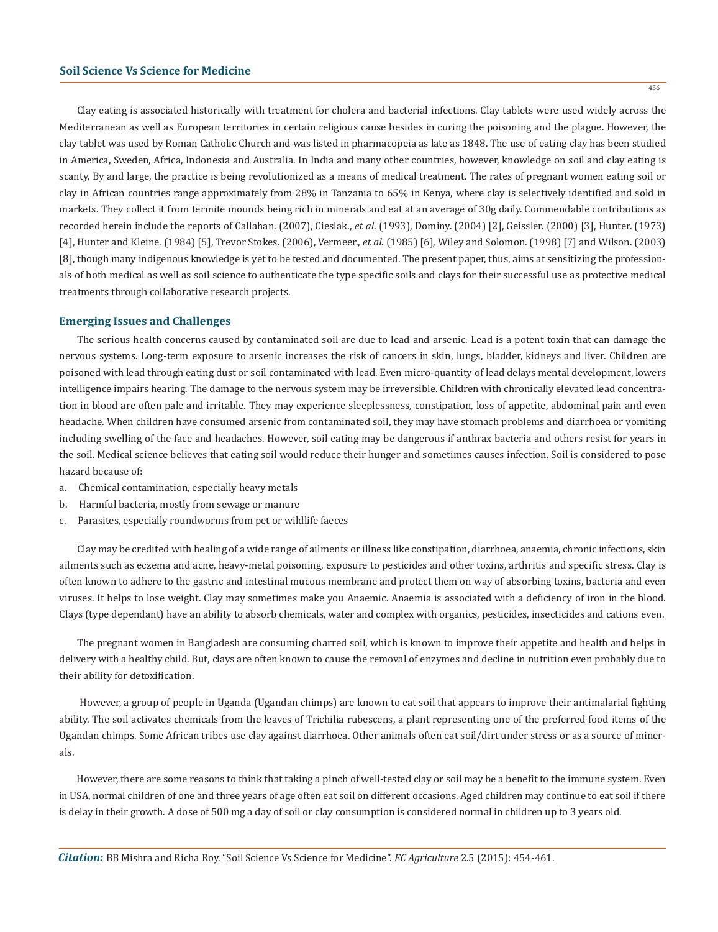Clay eating is associated historically with treatment for cholera and bacterial infections. Clay tablets were used widely across the Mediterranean as well as European territories in certain religious cause besides in curing the poisoning and the plague. However, the clay tablet was used by Roman Catholic Church and was listed in pharmacopeia as late as 1848. The use of eating clay has been studied in America, Sweden, Africa, Indonesia and Australia. In India and many other countries, however, knowledge on soil and clay eating is scanty. By and large, the practice is being revolutionized as a means of medical treatment. The rates of pregnant women eating soil or clay in African countries range approximately from 28% in Tanzania to 65% in Kenya, where clay is selectively identified and sold in markets. They collect it from termite mounds being rich in minerals and eat at an average of 30g daily. Commendable contributions as recorded herein include the reports of Callahan. (2007), Cieslak., *et al*. (1993), Dominy. (2004) [2], Geissler. (2000) [3], Hunter. (1973) [4], Hunter and Kleine. (1984) [5], Trevor Stokes. (2006), Vermeer., *et al*. (1985) [6], Wiley and Solomon. (1998) [7] and Wilson. (2003) [8], though many indigenous knowledge is yet to be tested and documented. The present paper, thus, aims at sensitizing the professionals of both medical as well as soil science to authenticate the type specific soils and clays for their successful use as protective medical treatments through collaborative research projects.

#### **Emerging Issues and Challenges**

The serious health concerns caused by contaminated soil are due to lead and arsenic. Lead is a potent toxin that can damage the nervous systems. Long-term exposure to arsenic increases the risk of cancers in skin, lungs, bladder, kidneys and liver. Children are poisoned with lead through eating dust or soil contaminated with lead. Even micro-quantity of lead delays mental development, lowers intelligence impairs hearing. The damage to the nervous system may be irreversible. Children with chronically elevated lead concentration in blood are often pale and irritable. They may experience sleeplessness, constipation, loss of appetite, abdominal pain and even headache. When children have consumed arsenic from contaminated soil, they may have stomach problems and diarrhoea or vomiting including swelling of the face and headaches. However, soil eating may be dangerous if anthrax bacteria and others resist for years in the soil. Medical science believes that eating soil would reduce their hunger and sometimes causes infection. Soil is considered to pose hazard because of:

- a. Chemical contamination, especially heavy metals
- b. Harmful bacteria, mostly from sewage or manure
- c. Parasites, especially roundworms from pet or wildlife faeces

Clay may be credited with healing of a wide range of ailments or illness like constipation, diarrhoea, anaemia, chronic infections, skin ailments such as eczema and acne, heavy-metal poisoning, exposure to pesticides and other toxins, arthritis and specific stress. Clay is often known to adhere to the gastric and intestinal mucous membrane and protect them on way of absorbing toxins, bacteria and even viruses. It helps to lose weight. Clay may sometimes make you Anaemic. Anaemia is associated with a deficiency of iron in the blood. Clays (type dependant) have an ability to absorb chemicals, water and complex with organics, pesticides, insecticides and cations even.

The pregnant women in Bangladesh are consuming charred soil, which is known to improve their appetite and health and helps in delivery with a healthy child. But, clays are often known to cause the removal of enzymes and decline in nutrition even probably due to their ability for detoxification.

 However, a group of people in Uganda (Ugandan chimps) are known to eat soil that appears to improve their antimalarial fighting ability. The soil activates chemicals from the leaves of Trichilia rubescens, a plant representing one of the preferred food items of the Ugandan chimps. Some African tribes use clay against diarrhoea. Other animals often eat soil/dirt under stress or as a source of minerals.

However, there are some reasons to think that taking a pinch of well-tested clay or soil may be a benefit to the immune system. Even in USA, normal children of one and three years of age often eat soil on different occasions. Aged children may continue to eat soil if there is delay in their growth. A dose of 500 mg a day of soil or clay consumption is considered normal in children up to 3 years old.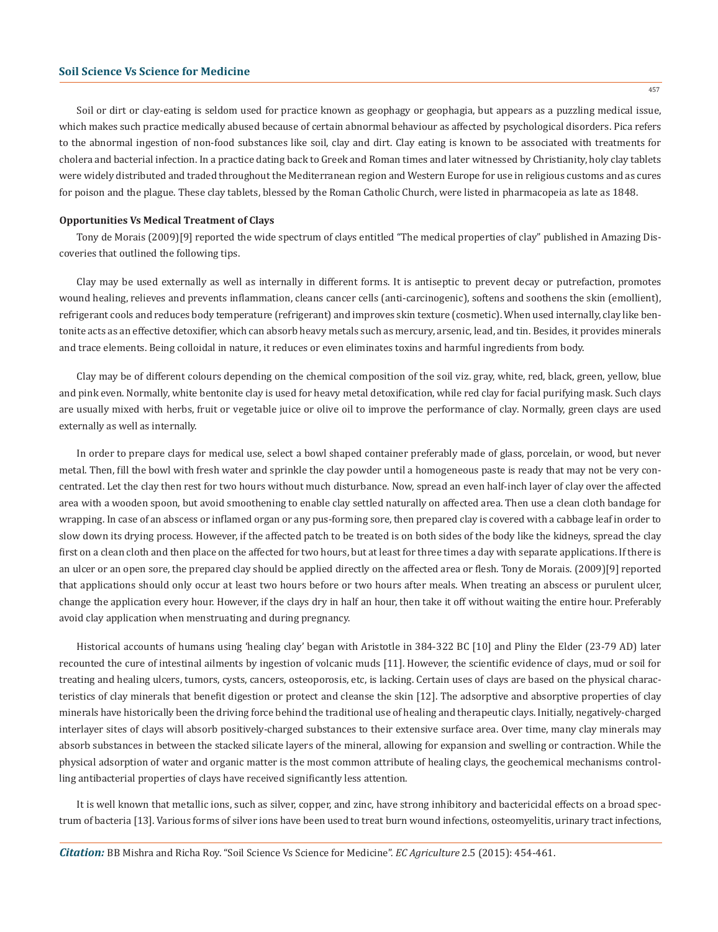Soil or dirt or clay-eating is seldom used for practice known as geophagy or geophagia, but appears as a puzzling medical issue, which makes such practice medically abused because of certain abnormal behaviour as affected by psychological disorders. Pica refers to the abnormal ingestion of non-food substances like soil, clay and dirt. Clay eating is known to be associated with treatments for cholera and bacterial infection. In a practice dating back to Greek and Roman times and later witnessed by Christianity, holy clay tablets were widely distributed and traded throughout the Mediterranean region and Western Europe for use in religious customs and as cures for poison and the plague. These clay tablets, blessed by the Roman Catholic Church, were listed in pharmacopeia as late as 1848.

#### **Opportunities Vs Medical Treatment of Clays**

Tony de Morais (2009)[9] reported the wide spectrum of clays entitled "The medical properties of clay" published in Amazing Discoveries that outlined the following tips.

Clay may be used externally as well as internally in different forms. It is antiseptic to prevent decay or putrefaction, promotes wound healing, relieves and prevents inflammation, cleans cancer cells (anti-carcinogenic), softens and soothens the skin (emollient), refrigerant cools and reduces body temperature (refrigerant) and improves skin texture (cosmetic). When used internally, clay like bentonite acts as an effective detoxifier, which can absorb heavy metals such as mercury, arsenic, lead, and tin. Besides, it provides minerals and trace elements. Being colloidal in nature, it reduces or even eliminates toxins and harmful ingredients from body.

Clay may be of different colours depending on the chemical composition of the soil viz. gray, white, red, black, green, yellow, blue and pink even. Normally, white bentonite clay is used for heavy metal detoxification, while red clay for facial purifying mask. Such clays are usually mixed with herbs, fruit or vegetable juice or olive oil to improve the performance of clay. Normally, green clays are used externally as well as internally.

In order to prepare clays for medical use, select a bowl shaped container preferably made of glass, porcelain, or wood, but never metal. Then, fill the bowl with fresh water and sprinkle the clay powder until a homogeneous paste is ready that may not be very concentrated. Let the clay then rest for two hours without much disturbance. Now, spread an even half-inch layer of clay over the affected area with a wooden spoon, but avoid smoothening to enable clay settled naturally on affected area. Then use a clean cloth bandage for wrapping. In case of an abscess or inflamed organ or any pus-forming sore, then prepared clay is covered with a cabbage leaf in order to slow down its drying process. However, if the affected patch to be treated is on both sides of the body like the kidneys, spread the clay first on a clean cloth and then place on the affected for two hours, but at least for three times a day with separate applications. If there is an ulcer or an open sore, the prepared clay should be applied directly on the affected area or flesh. Tony de Morais. (2009)[9] reported that applications should only occur at least two hours before or two hours after meals. When treating an abscess or purulent ulcer, change the application every hour. However, if the clays dry in half an hour, then take it off without waiting the entire hour. Preferably avoid clay application when menstruating and during pregnancy.

Historical accounts of humans using 'healing clay' began with Aristotle in 384-322 BC [10] and Pliny the Elder (23-79 AD) later recounted the cure of intestinal ailments by ingestion of volcanic muds [11]. However, the scientific evidence of clays, mud or soil for treating and healing ulcers, tumors, cysts, cancers, osteoporosis, etc, is lacking. Certain uses of clays are based on the physical characteristics of clay minerals that benefit digestion or protect and cleanse the skin [12]. The adsorptive and absorptive properties of clay minerals have historically been the driving force behind the traditional use of healing and therapeutic clays. Initially, negatively-charged interlayer sites of clays will absorb positively-charged substances to their extensive surface area. Over time, many clay minerals may absorb substances in between the stacked silicate layers of the mineral, allowing for expansion and swelling or contraction. While the physical adsorption of water and organic matter is the most common attribute of healing clays, the geochemical mechanisms controlling antibacterial properties of clays have received significantly less attention.

It is well known that metallic ions, such as silver, copper, and zinc, have strong inhibitory and bactericidal effects on a broad spectrum of bacteria [13]. Various forms of silver ions have been used to treat burn wound infections, osteomyelitis, urinary tract infections,

*Citation:* BB Mishra and Richa Roy. "Soil Science Vs Science for Medicine". *EC Agriculture* 2.5 (2015): 454-461.

457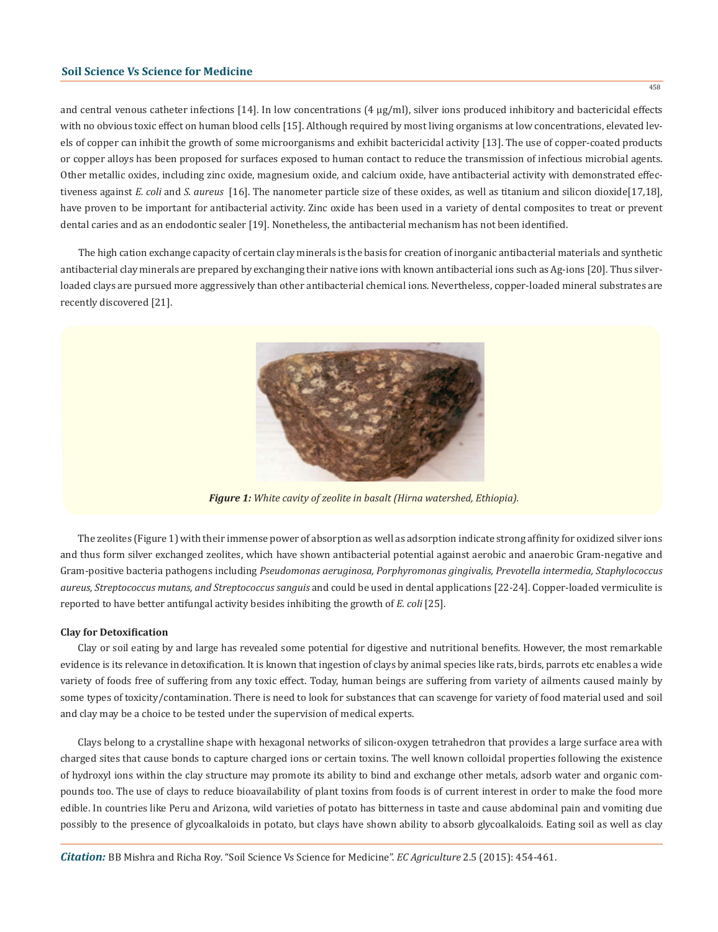and central venous catheter infections [14]. In low concentrations (4 µg/ml), silver ions produced inhibitory and bactericidal effects with no obvious toxic effect on human blood cells [15]. Although required by most living organisms at low concentrations, elevated levels of copper can inhibit the growth of some microorganisms and exhibit bactericidal activity [13]. The use of copper-coated products or copper alloys has been proposed for surfaces exposed to human contact to reduce the transmission of infectious microbial agents. Other metallic oxides, including zinc oxide, magnesium oxide, and calcium oxide, have antibacterial activity with demonstrated effectiveness against *E. coli* and *S. aureus* [16]. The nanometer particle size of these oxides, as well as titanium and silicon dioxide[17,18], have proven to be important for antibacterial activity. Zinc oxide has been used in a variety of dental composites to treat or prevent dental caries and as an endodontic sealer [19]. Nonetheless, the antibacterial mechanism has not been identified.

The high cation exchange capacity of certain clay minerals is the basis for creation of inorganic antibacterial materials and synthetic antibacterial clay minerals are prepared by exchanging their native ions with known antibacterial ions such as Ag-ions [20]. Thus silverloaded clays are pursued more aggressively than other antibacterial chemical ions. Nevertheless, copper-loaded mineral substrates are recently discovered [21].



*Figure 1: White cavity of zeolite in basalt (Hirna watershed, Ethiopia).*

The zeolites (Figure 1) with their immense power of absorption as well as adsorption indicate strong affinity for oxidized silver ions and thus form silver exchanged zeolites, which have shown antibacterial potential against aerobic and anaerobic Gram-negative and Gram-positive bacteria pathogens including *Pseudomonas aeruginosa, Porphyromonas gingivalis, Prevotella intermedia, Staphylococcus aureus, Streptococcus mutans, and Streptococcus sanguis* and could be used in dental applications [22-24]. Copper-loaded vermiculite is reported to have better antifungal activity besides inhibiting the growth of *E. coli* [25].

#### **Clay for Detoxification**

Clay or soil eating by and large has revealed some potential for digestive and nutritional benefits. However, the most remarkable evidence is its relevance in detoxification. It is known that ingestion of clays by animal species like rats, birds, parrots etc enables a wide variety of foods free of suffering from any toxic effect. Today, human beings are suffering from variety of ailments caused mainly by some types of toxicity/contamination. There is need to look for substances that can scavenge for variety of food material used and soil and clay may be a choice to be tested under the supervision of medical experts.

Clays belong to a crystalline shape with hexagonal networks of silicon-oxygen tetrahedron that provides a large surface area with charged sites that cause bonds to capture charged ions or certain toxins. The well known colloidal properties following the existence of hydroxyl ions within the clay structure may promote its ability to bind and exchange other metals, adsorb water and organic compounds too. The use of clays to reduce bioavailability of plant toxins from foods is of current interest in order to make the food more edible. In countries like Peru and Arizona, wild varieties of potato has bitterness in taste and cause abdominal pain and vomiting due possibly to the presence of glycoalkaloids in potato, but clays have shown ability to absorb glycoalkaloids. Eating soil as well as clay

*Citation:* BB Mishra and Richa Roy. "Soil Science Vs Science for Medicine". *EC Agriculture* 2.5 (2015): 454-461.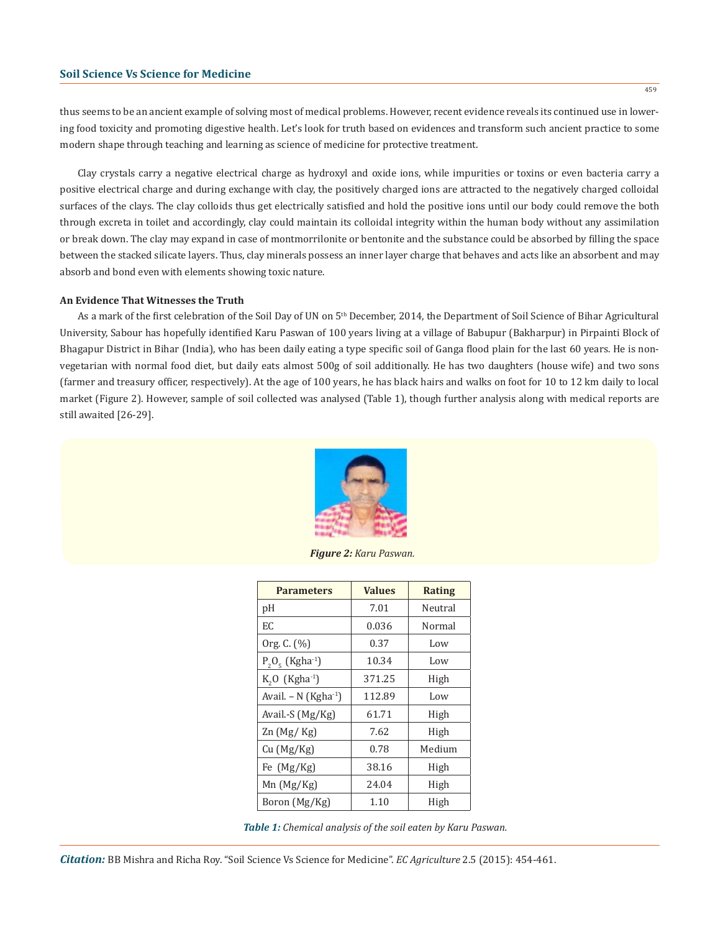thus seems to be an ancient example of solving most of medical problems. However, recent evidence reveals its continued use in lowering food toxicity and promoting digestive health. Let's look for truth based on evidences and transform such ancient practice to some modern shape through teaching and learning as science of medicine for protective treatment.

Clay crystals carry a negative electrical charge as hydroxyl and oxide ions, while impurities or toxins or even bacteria carry a positive electrical charge and during exchange with clay, the positively charged ions are attracted to the negatively charged colloidal surfaces of the clays. The clay colloids thus get electrically satisfied and hold the positive ions until our body could remove the both through excreta in toilet and accordingly, clay could maintain its colloidal integrity within the human body without any assimilation or break down. The clay may expand in case of montmorrilonite or bentonite and the substance could be absorbed by filling the space between the stacked silicate layers. Thus, clay minerals possess an inner layer charge that behaves and acts like an absorbent and may absorb and bond even with elements showing toxic nature.

#### **An Evidence That Witnesses the Truth**

As a mark of the first celebration of the Soil Day of UN on 5<sup>th</sup> December, 2014, the Department of Soil Science of Bihar Agricultural University, Sabour has hopefully identified Karu Paswan of 100 years living at a village of Babupur (Bakharpur) in Pirpainti Block of Bhagapur District in Bihar (India), who has been daily eating a type specific soil of Ganga flood plain for the last 60 years. He is nonvegetarian with normal food diet, but daily eats almost 500g of soil additionally. He has two daughters (house wife) and two sons (farmer and treasury officer, respectively). At the age of 100 years, he has black hairs and walks on foot for 10 to 12 km daily to local market (Figure 2). However, sample of soil collected was analysed (Table 1), though further analysis along with medical reports are still awaited [26-29].



*Figure 2: Karu Paswan.*

| <b>Parameters</b>              | <b>Values</b> | <b>Rating</b> |
|--------------------------------|---------------|---------------|
| рH                             | 7.01          | Neutral       |
| EC                             | 0.036         | Normal        |
| Org. C. (%)                    | 0.37          | Low           |
| $P_2O_5$ (Kgha <sup>-1</sup> ) | 10.34         | Low           |
| $K, O$ (Kgha <sup>-1</sup> )   | 371.25        | High          |
| Avail. – N $(Kgha^{-1})$       | 112.89        | Low           |
| Avail.-S (Mg/Kg)               | 61.71         | High          |
| Zn (Mg/Kg)                     | 7.62          | High          |
| Cu (Mg/Kg)                     | 0.78          | Medium        |
| Fe (Mg/Kg)                     | 38.16         | High          |
| $Mn$ (Mg/Kg)                   | 24.04         | High          |
| Boron (Mg/Kg)                  | 1.10          | High          |

*Table 1: Chemical analysis of the soil eaten by Karu Paswan.*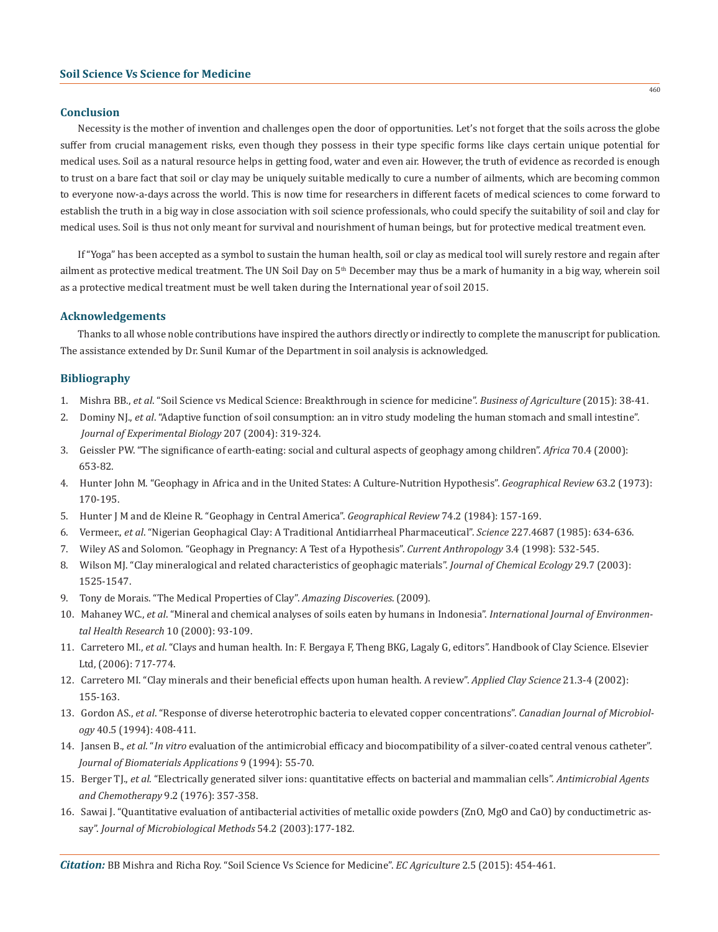## **Conclusion**

Necessity is the mother of invention and challenges open the door of opportunities. Let's not forget that the soils across the globe suffer from crucial management risks, even though they possess in their type specific forms like clays certain unique potential for medical uses. Soil as a natural resource helps in getting food, water and even air. However, the truth of evidence as recorded is enough to trust on a bare fact that soil or clay may be uniquely suitable medically to cure a number of ailments, which are becoming common to everyone now-a-days across the world. This is now time for researchers in different facets of medical sciences to come forward to establish the truth in a big way in close association with soil science professionals, who could specify the suitability of soil and clay for medical uses. Soil is thus not only meant for survival and nourishment of human beings, but for protective medical treatment even.

If "Yoga" has been accepted as a symbol to sustain the human health, soil or clay as medical tool will surely restore and regain after ailment as protective medical treatment. The UN Soil Day on 5<sup>th</sup> December may thus be a mark of humanity in a big way, wherein soil as a protective medical treatment must be well taken during the International year of soil 2015.

#### **Acknowledgements**

Thanks to all whose noble contributions have inspired the authors directly or indirectly to complete the manuscript for publication. The assistance extended by Dr. Sunil Kumar of the Department in soil analysis is acknowledged.

## **Bibliography**

- 1. Mishra BB., *et al*. "Soil Science vs Medical Science: Breakthrough in science for medicine". *Business of Agriculture* (2015): 38-41.
- 2. Dominy NJ., *et al*. "Adaptive function of soil consumption: an in vitro study modeling the human stomach and small intestine". *Journal of Experimental Biology* 207 (2004): 319-324.
- 3. Geissler PW. "The significance of earth-eating: social and cultural aspects of geophagy among children". *Africa* 70.4 (2000): 653-82.
- 4. Hunter John M. "Geophagy in Africa and in the United States: A Culture-Nutrition Hypothesis". *Geographical Review* 63.2 (1973): 170-195.
- 5. Hunter J M and de Kleine R. "Geophagy in Central America". *Geographical Review* 74.2 (1984): 157-169.
- 6. Vermeer., *et al*. "Nigerian Geophagical Clay: A Traditional Antidiarrheal Pharmaceutical". *Science* 227.4687 (1985): 634-636.
- 7. Wiley AS and Solomon. "Geophagy in Pregnancy: A Test of a Hypothesis". *Current Anthropology* 3.4 (1998): 532-545.
- 8. Wilson MJ. "Clay mineralogical and related characteristics of geophagic materials". *Journal of Chemical Ecology* 29.7 (2003): 1525-1547.
- 9. Tony de Morais. "The Medical Properties of Clay". *Amazing Discoveries*. (2009).
- 10. Mahaney WC., *et al*. "Mineral and chemical analyses of soils eaten by humans in Indonesia". *International Journal of Environmen tal Health Research* 10 (2000): 93-109.
- 11. Carretero MI., *et al*. "Clays and human health. In: F. Bergaya F, Theng BKG, Lagaly G, editors". Handbook of Clay Science. Elsevier Ltd, (2006): 717-774.
- 12. Carretero MI. "Clay minerals and their beneficial effects upon human health. A review". *Applied Clay Science* 21.3-4 (2002): 155-163.
- 13. Gordon AS., *et al*. "Response of diverse heterotrophic bacteria to elevated copper concentrations". *Canadian Journal of Microbiol ogy* 40.5 (1994): 408-411.
- 14. Jansen B., *et al*. "*In vitro* evaluation of the antimicrobial efficacy and biocompatibility of a silver-coated central venous catheter". *Journal of Biomaterials Applications* 9 (1994): 55-70.
- 15. Berger TJ., *et al*. "Electrically generated silver ions: quantitative effects on bacterial and mammalian cells". *Antimicrobial Agents and Chemotherapy* 9.2 (1976): 357-358.
- 16. Sawai J. "Quantitative evaluation of antibacterial activities of metallic oxide powders (ZnO, MgO and CaO) by conductimetric as say". *Journal of Microbiological Methods* 54.2 (2003):177-182.